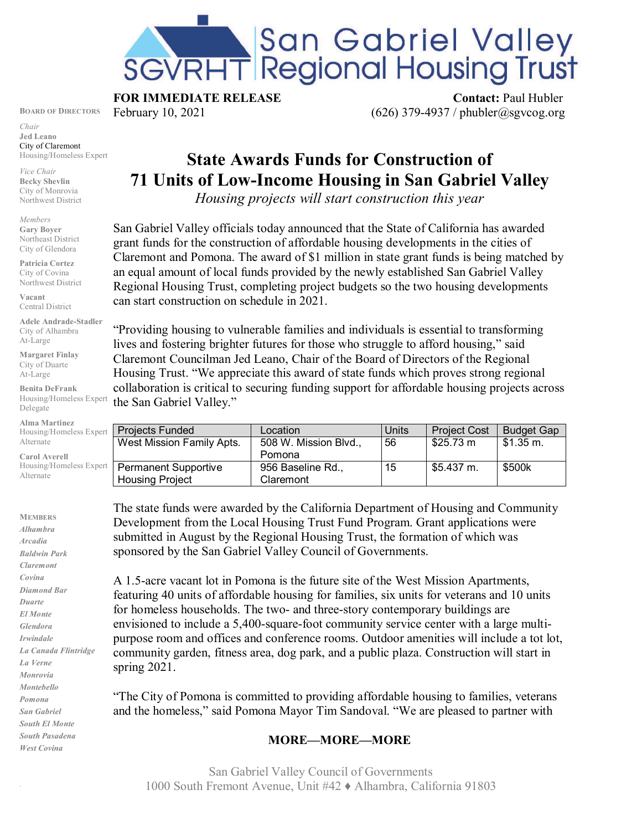

**FOR IMMEDIATE RELEASE Contact: Paul Hubler** 

**BOARD OF DIRECTORS** February 10, 2021 (626) 379-4937 / phubler  $\alpha$ sgvcog.org

*Chair* **Jed Leano** City of Claremont Housing/Homeless Expert

*Vice Chair* **Becky Shevlin** City of Monrovia Northwest District

*Members* **Gary Boyer** Northeast District City of Glendora

**Patricia Cortez** City of Covina Northwest District

**Vacant** Central District

**Adele Andrade-Stadler** City of Alhambra At-Large

**Margaret Finlay** City of Duarte At-Large

**Benita DeFrank** Housing/Homeless Expert Delegate

**Alma Martinez** Housing/Homeles Alternate

**Carol Averell** Housing/Homeles Alternate

**MEMBERS** *Alhambra Arcadia Baldwin Park Claremont Covina Diamond Bar Duarte El Monte Glendora Irwindale La Canada Flintridge La Verne Monrovia Montebello Pomona San Gabriel South El Monte South Pasadena West Covina*

.

## **State Awards Funds for Construction of 71 Units of Low-Income Housing in San Gabriel Valley**

*Housing projects will start construction this year*

San Gabriel Valley officials today announced that the State of California has awarded grant funds for the construction of affordable housing developments in the cities of Claremont and Pomona. The award of \$1 million in state grant funds is being matched by an equal amount of local funds provided by the newly established San Gabriel Valley Regional Housing Trust, completing project budgets so the two housing developments can start construction on schedule in 2021.

"Providing housing to vulnerable families and individuals is essential to transforming lives and fostering brighter futures for those who struggle to afford housing," said Claremont Councilman Jed Leano, Chair of the Board of Directors of the Regional Housing Trust. "We appreciate this award of state funds which proves strong regional collaboration is critical to securing funding support for affordable housing projects across the San Gabriel Valley."

| s Expert | <b>Projects Funded</b>      | Location              | Units | <b>Project Cost</b> | <b>Budget Gap</b>  |
|----------|-----------------------------|-----------------------|-------|---------------------|--------------------|
|          | West Mission Family Apts.   | 508 W. Mission Blvd., | 56    | \$25.73 m           | $$1.35 \text{ m.}$ |
|          |                             | Pomona                |       |                     |                    |
| s Expert | <b>Permanent Supportive</b> | 956 Baseline Rd.,     | 15    | \$5.437 m.          | \$500k             |
|          | <b>Housing Project</b>      | Claremont             |       |                     |                    |

The state funds were awarded by the California Department of Housing and Community Development from the Local Housing Trust Fund Program. Grant applications were submitted in August by the Regional Housing Trust, the formation of which was sponsored by the San Gabriel Valley Council of Governments.

A 1.5-acre vacant lot in Pomona is the future site of the West Mission Apartments, featuring 40 units of affordable housing for families, six units for veterans and 10 units for homeless households. The two- and three-story contemporary buildings are envisioned to include a 5,400-square-foot community service center with a large multipurpose room and offices and conference rooms. Outdoor amenities will include a tot lot, community garden, fitness area, dog park, and a public plaza. Construction will start in spring 2021.

"The City of Pomona is committed to providing affordable housing to families, veterans and the homeless," said Pomona Mayor Tim Sandoval. "We are pleased to partner with

## **MORE—MORE—MORE**